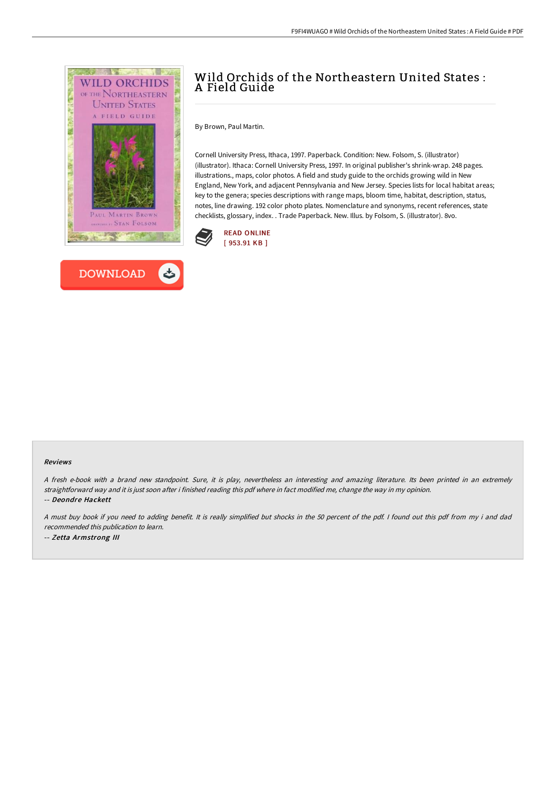



# Wild Orchids of the Northeastern United States : A Field Guide

By Brown, Paul Martin.

Cornell University Press, Ithaca, 1997. Paperback. Condition: New. Folsom, S. (illustrator) (illustrator). Ithaca: Cornell University Press, 1997. In original publisher's shrink-wrap. 248 pages. illustrations., maps, color photos. A field and study guide to the orchids growing wild in New England, New York, and adjacent Pennsylvania and New Jersey. Species lists for local habitat areas; key to the genera; species descriptions with range maps, bloom time, habitat, description, status, notes, line drawing. 192 color photo plates. Nomenclature and synonyms, recent references, state checklists, glossary, index. . Trade Paperback. New. Illus. by Folsom, S. (illustrator). 8vo.



#### Reviews

<sup>A</sup> fresh e-book with <sup>a</sup> brand new standpoint. Sure, it is play, nevertheless an interesting and amazing literature. Its been printed in an extremely straightforward way and it is just soon after i finished reading this pdf where in fact modified me, change the way in my opinion. -- Deondre Hackett

<sup>A</sup> must buy book if you need to adding benefit. It is really simplified but shocks in the <sup>50</sup> percent of the pdf. <sup>I</sup> found out this pdf from my i and dad recommended this publication to learn. -- Zetta Armstrong III